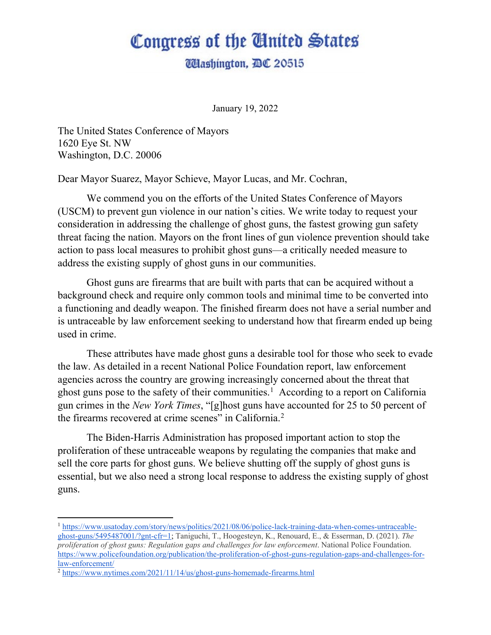## Congress of the Ginited States

**Udashington, DC 20515** 

January 19, 2022

The United States Conference of Mayors 1620 Eye St. NW Washington, D.C. 20006

Dear Mayor Suarez, Mayor Schieve, Mayor Lucas, and Mr. Cochran,

We commend you on the efforts of the United States Conference of Mayors (USCM) to prevent gun violence in our nation's cities. We write today to request your consideration in addressing the challenge of ghost guns, the fastest growing gun safety threat facing the nation. Mayors on the front lines of gun violence prevention should take action to pass local measures to prohibit ghost guns—a critically needed measure to address the existing supply of ghost guns in our communities.

Ghost guns are firearms that are built with parts that can be acquired without a background check and require only common tools and minimal time to be converted into a functioning and deadly weapon. The finished firearm does not have a serial number and is untraceable by law enforcement seeking to understand how that firearm ended up being used in crime.

These attributes have made ghost guns a desirable tool for those who seek to evade the law. As detailed in a recent National Police Foundation report, law enforcement agencies across the country are growing increasingly concerned about the threat that ghost guns pose to the safety of their communities.<sup>[1](#page-0-0)</sup> According to a report on California gun crimes in the *New York Times*, "[g]host guns have accounted for 25 to 50 percent of the firearms recovered at crime scenes" in California.<sup>[2](#page-0-1)</sup>

The Biden-Harris Administration has proposed important action to stop the proliferation of these untraceable weapons by regulating the companies that make and sell the core parts for ghost guns. We believe shutting off the supply of ghost guns is essential, but we also need a strong local response to address the existing supply of ghost guns.

<span id="page-0-0"></span><sup>1</sup> [https://www.usatoday.com/story/news/politics/2021/08/06/police-lack-training-data-when-comes-untraceable](https://www.usatoday.com/story/news/politics/2021/08/06/police-lack-training-data-when-comes-untraceable-ghost-guns/5495487001/?gnt-cfr=1)[ghost-guns/5495487001/?gnt-cfr=1;](https://www.usatoday.com/story/news/politics/2021/08/06/police-lack-training-data-when-comes-untraceable-ghost-guns/5495487001/?gnt-cfr=1) Taniguchi, T., Hoogesteyn, K., Renouard, E., & Esserman, D. (2021). *The proliferation of ghost guns: Regulation gaps and challenges for law enforcement*. National Police Foundation. [https://www.policefoundation.org/publication/the-proliferation-of-ghost-guns-regulation-gaps-and-challenges-for](https://www.policefoundation.org/publication/the-proliferation-of-ghost-guns-regulation-gaps-and-challenges-for-law-enforcement/)[law-enforcement/](https://www.policefoundation.org/publication/the-proliferation-of-ghost-guns-regulation-gaps-and-challenges-for-law-enforcement/)

<span id="page-0-1"></span><sup>2</sup> <https://www.nytimes.com/2021/11/14/us/ghost-guns-homemade-firearms.html>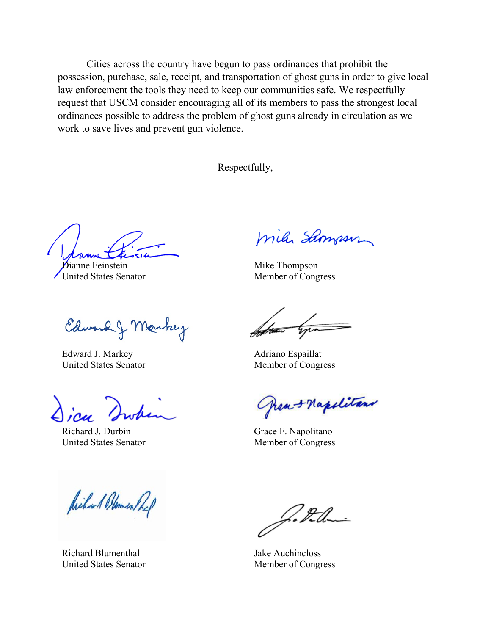Cities across the country have begun to pass ordinances that prohibit the possession, purchase, sale, receipt, and transportation of ghost guns in order to give local law enforcement the tools they need to keep our communities safe. We respectfully request that USCM consider encouraging all of its members to pass the strongest local ordinances possible to address the problem of ghost guns already in circulation as we work to save lives and prevent gun violence.

Respectfully,

**D**ianne Feinstein United States Senator

Edward J Markey

Edward J. Markey United States Senator

Richard J. Durbin United States Senator

Richard Blomer Pref

Richard Blumenthal United States Senator

mile Samson

Mike Thompson Member of Congress

Adriano Espaillat Member of Congress

hea-+ Napolitans

Grace F. Napolitano Member of Congress

Jake Auchincloss Member of Congress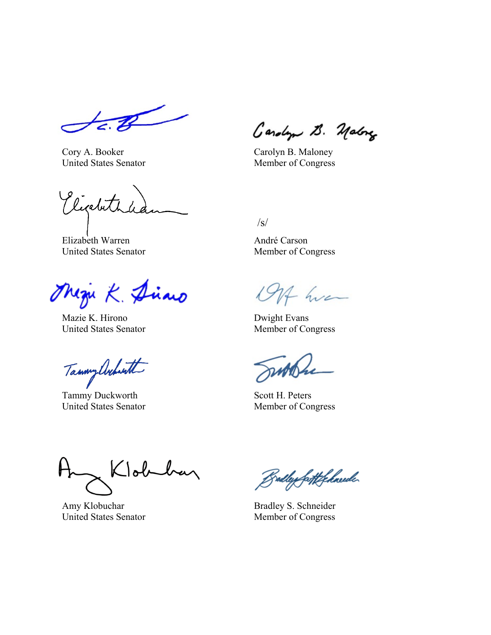Cory A. Booker United States Senator

Eigebitha

Elizabeth Warren United States Senator

Magu K. Diano

Mazie K. Hirono United States Senator

Tammy Architt

Tammy Duckworth United States Senator

Gardyn B. Malong

Carolyn B. Maloney Member of Congress

 $\sqrt{s}$ 

André Carson Member of Congress

1914 hva

Dwight Evans Member of Congress

Scott H. Peters Member of Congress

Klobehan

Amy Klobuchar United States Senator

Bully fortfolkede

Bradley S. Schneider Member of Congress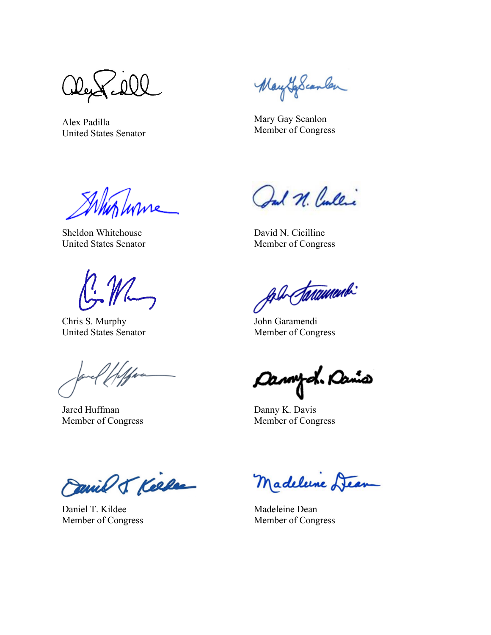Alex Padilla United States Senator

MaytoScanler

Mary Gay Scanlon Member of Congress

With Lurise

Sheldon Whitehouse United States Senator

 $\mathbb{C}^N$ 

Chris S. Murphy United States Senator

Jared Huffman Member of Congress

Ind N. Cullic

David N. Cicilline Member of Congress

fol Sarammon

John Garamendi Member of Congress

Cannych Ramo

Danny K. Davis Member of Congress

Canil J. Kelle

Daniel T. Kildee Member of Congress

Madelune Dear

Madeleine Dean Member of Congress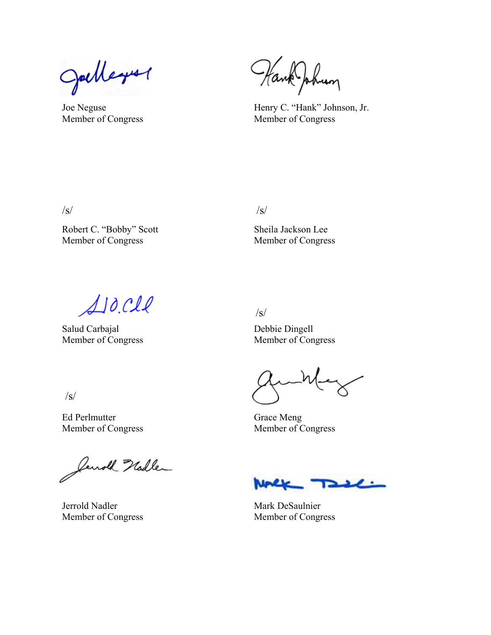Julleyer

Joe Neguse Member of Congress

Hank Johnson

Henry C. "Hank" Johnson, Jr. Member of Congress

 $\sqrt{s}/\sqrt{s}$ 

Robert C. "Bobby" Scott Member of Congress

/s/

Sheila Jackson Lee Member of Congress

 $A$ 10. $c$ ll

Salud Carbajal Member of Congress

Debbie Dingell Member of Congress

Grace Meng Member of Congress

Jenoth Nadler

Jerrold Nadler Member of Congress

فكعلا

Mark DeSaulnier Member of Congress

 $\sqrt{s}$ 

Ed Perlmutter

Member of Congress